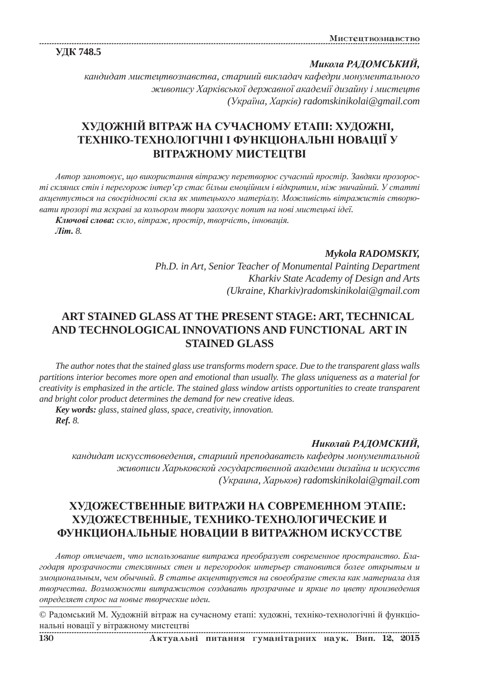**ɍȾɄ 748.5**

Микола РАДОМСЬКИЙ,

**кандидат мистецтвознавства, старший викладач кафедри монументального**  $x$ *живопису Харківської державної академії дизайну і мистецтв (ɍɤɪɚʀɧɚ, ɏɚɪɤɿɜ) radomskinikolai@gmail.com*

# **ɏɍȾɈɀɇȱɃ ȼȱɌɊȺɀ ɇȺ ɋɍɑȺɋɇɈɆɍ ȿɌȺɉȱ: ɏɍȾɈɀɇȱ, ɌȿɏɇȱɄɈ-ɌȿɏɇɈɅɈȽȱɑɇȱ ȱ ɎɍɇɄɐȱɈɇȺɅɖɇȱ ɇɈȼȺɐȱȲ ɍ ВІТРАЖНОМУ МИСТЕЦТВІ**

 $A$ втор занотовує, що використання вітражу перетворює сучасний простір. Завдяки прозорості скляних стін і перегорож інтер'єр стає більш емоційним і відкритим, ніж звичайний. У статті *ɚɤɰɟɧɬɭɽɬɶɫɹ ɧɚ ɫɜɨɽɪɿɞɧɨɫɬɿ ɫɤɥɚ ɹɤ ɦɢɬɟɰɶɤɨɝɨ ɦɚɬɟɪɿɚɥɭ. Ɇɨɠɥɢɜɿɫɬɶ ɜɿɬɪɚɠɢɫɬɿɜ ɫɬɜɨɪɸɜɚɬɢ ɩɪɨɡɨɪɿ ɬɚ ɹɫɤɪɚɜɿ ɡɚ ɤɨɥɶɨɪɨɦ ɬɜɨɪɢ ɡɚɨɯɨɱɭɽ ɩɨɩɢɬ ɧɚ ɧɨɜɿ ɦɢɫɬɟɰɶɤɿ ɿɞɟʀ.*

Ключові слова: скло, вітраж, простір, творчість, інновація. *Ʌɿɬ. 8.*

### *Mykola RADOMSKIY,*

*Ph.D. in Art, Senior Teacher of Monumental Painting Department Kharkiv State Academy of Design and Arts (Ukraine, Kharkiv)radomskinikolai@gmail.com*

## **ART STAINED GLASS AT THE PRESENT STAGE: ART, TECHNICAL AND TECHNOLOGICAL INNOVATIONS AND FUNCTIONAL ART IN STAINED GLASS**

*The author notes that the stained glass use transforms modern space. Due to the transparent glass walls partitions interior becomes more open and emotional than usually. The glass uniqueness as a material for creativity is emphasized in the article. The stained glass window artists opportunities to create transparent and bright color product determines the demand for new creative ideas.*

*Key words: glass, stained glass, space, creativity, innovation. Ref. 8.*

### Николай РАДОМСКИЙ,

**кандидат искусствоведения, старший преподаватель кафедры монументальной**  $x$ *екивописи Харьковской государственной академии дизайна и искусств (ɍɤɪɚɢɧɚ, ɏɚɪɶɤɨɜ) radomskinikolai@gmail.com*

# ХУЛОЖЕСТВЕННЫЕ ВИТРАЖИ НА СОВРЕМЕННОМ ЭТАПЕ: **ɏɍȾɈɀȿɋɌȼȿɇɇɕȿ, ɌȿɏɇɂɄɈ-ɌȿɏɇɈɅɈȽɂɑȿɋɄɂȿ ɂ ФУНКЦИОНАЛЬНЫЕ НОВАЦИИ В ВИТРАЖНОМ ИСКУССТВЕ**

 $A$ втор отмечает, что использование витража преобразует современное пространство. Бла- $20\text{d}ap$ я прозрачности стеклянных стен и перегородок интерьер становится более открытым и змоциональным, чем обычный. В статье акцентируется на своеобразие стекла как материала для  $m$ ворчества. Возможности витражистов создавать прозрачные и яркие по цвету произведения  $\omega$ *ыределяет спрос на новые творческие идеи.* 

© Радомський М. Художній вітраж на сучасному етапі: художні, техніко-технологічні й функціональні новації у вітражному мистецтві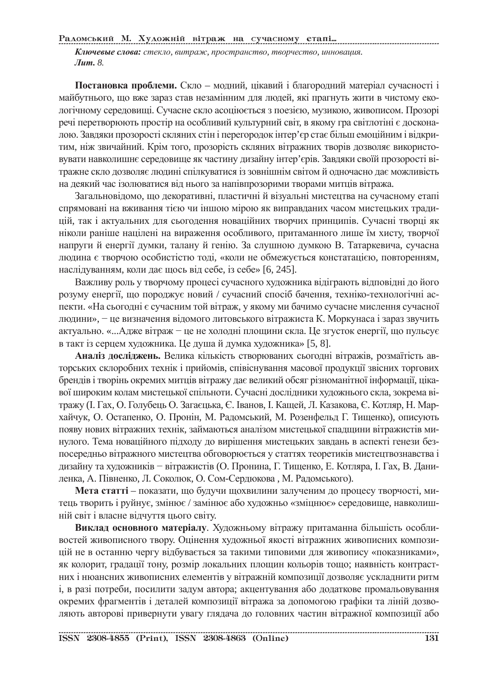Радомський М. Художній вітраж на сучасному етапі.

Ключевые слова: стекло, витраж, пространство, творчество, инновация. *<u>Jum. 8.</u>* 

Постановка проблеми. Скло – модний, цікавий і благородний матеріал сучасності і майбутнього, що вже зараз став незамінним для людей, які прагнуть жити в чистому екологічному середовищі. Сучасне скло асоціюється з поезією, музикою, живописом. Прозорі речі перетворюють простір на особливий культурний світ, в якому гра світлотіні є досконалою. Завдяки прозорості скляних стін і перегородок інтер'єр стає більш емоційним і відкритим, ніж звичайний. Крім того, прозорість скляних вітражних творів дозволяє використовувати навколишнє середовище як частину дизайну інтер'єрів. Завдяки своїй прозорості вітражне скло дозволяє людині спілкуватися із зовнішнім світом й одночасно дає можливість на деякий час ізолюватися від нього за напівпрозорими творами митців вітража.

Загальновідомо, що декоративні, пластичні й візуальні мистецтва на сучасному етапі спрямовані на вживання тією чи іншою мірою як виправданих часом мистецьких традицій, так і актуальних для сьогодення новаційних творчих принципів. Сучасні творці як ніколи раніше націлені на вираження особливого, притаманного лише їм хисту, творчої напруги й енергії думки, талану й генію. За слушною думкою В. Татаркевича, сучасна людина є творчою особистістю тоді, «коли не обмежується констатацією, повторенням, наслідуванням, коли дає щось від себе, із себе» [6, 245].

Важливу роль у творчому процесі сучасного художника відіграють відповідні до його розуму енергії, що породжує новий / сучасний спосіб бачення, техніко-технологічні аспекти. «На сьогодні є сучасним той вітраж, у якому ми бачимо сучасне мислення сучасної людини», – це визначення відомого литовського вітражиста К. Моркунаса і зараз звучить актуально. «...Адже вітраж – це не холодні площини скла. Це згусток енергії, що пульсує в такт із серцем художника. Це душа й думка художника» [5, 8].

Аналіз досліджень. Велика кількість створюваних сьогодні вітражів, розмаїтість авторських склоробних технік і прийомів, співіснування масової продукції звісних торгових брендів і творінь окремих митців вітражу дає великий обсяг різноманітної інформації, цікавої широким колам мистецької спільноти. Сучасні дослідники художнього скла, зокрема вітражу (І. Гах, О. Голубець О. Загаєцька, Є. Іванов, І. Кащей, Л. Казакова, Є. Котляр, Н. Мархайчук, О. Остапенко, О. Пронін, М. Радомський, М. Розенфельд Г. Тищенко), описують появу нових вітражних технік, займаються аналізом мистецької спадщини вітражистів минулого. Тема новаційного підходу до вирішення мистецьких завдань в аспекті генези безпосередньо вітражного мистецтва обговорюється у статтях теоретиків мистецтвознавства і дизайну та художників – вітражистів (О. Пронина, Г. Тищенко, Е. Котляра, І. Гах, В. Даниленка, А. Півненко, Л. Соколюк, О. Сом-Сердюкова, М. Радомського).

**Мета статті** – показати, що будучи щохвилини залученим до процесу творчості, митець творить і руйнує, змінює / замінює або художньо «зміцнює» середовище, навколишній світ і власне відчуття цього світу.

Виклад основного матеріалу. Художньому вітражу притаманна більшість особливостей живописного твору. Оцінення художньої якості вітражних живописних композицій не в останню чергу відбувається за такими типовими для живопису «показниками», як колорит, градації тону, розмір локальних площин кольорів тощо; наявність контрастних і нюансних живописних елементів у вітражній композиції дозволяє ускладнити ритм i, в разi потреби, посилити задум автора; акцентування або додаткове промальовування окремих фрагментів і деталей композиції вітража за допомогою графіки та ліній дозволяють авторові привернути увагу глядача до головних частин вітражної композиції або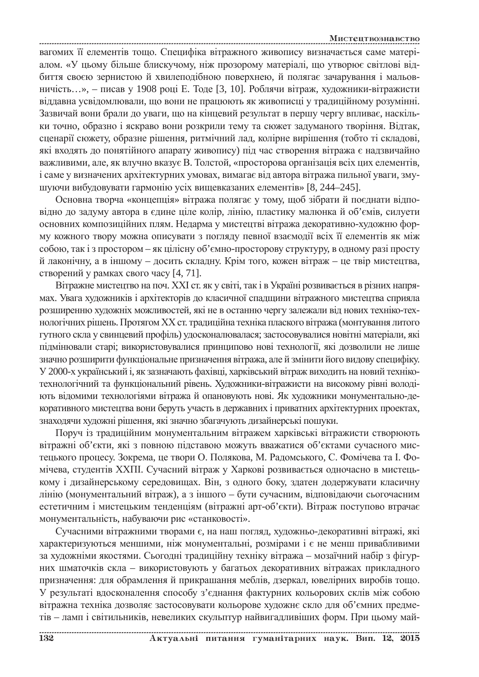вагомих її елементів тощо. Специфіка вітражного живопису визначається саме матеріалом. «У цьому більше блискучому, ніж прозорому матеріалі, що утворює світлові відбиття своєю зернистою й хвилеподібною поверхнею, й полягає зачарування і мальовничість...», – писав у 1908 році Е. Тоде [3, 10]. Роблячи вітраж, художники-вітражисти віддавна усвідомлювали, що вони не працюють як живописці у традиційному розумінні. Зазвичай вони брали до уваги, що на кінцевий результат в першу чергу впливає, наскільки точно, образно і яскраво вони розкрили тему та сюжет задуманого творіння. Відтак, сценарії сюжету, образне рішення, ритмічний лад, колірне вирішення (тобто ті складові, які входять до понятійного апарату живопису) під час створення вітража є надзвичайно важливими, але, як влучно вказує В. Толстой, «просторова організація всіх цих елементів, і саме у визначених архітектурних умовах, вимагає від автора вітража пильної уваги, змушуючи вибудовувати гармонію усіх вищевказаних елементів» [8, 244–245].

Основна творча «концепція» вітража полягає у тому, щоб зібрати й поєднати відповідно до задуму автора в єдине ціле колір, лінію, пластику малюнка й об'ємів, силуети основних композиційних плям. Недарма у мистецтві вітража декоративно-художню форму кожного твору можна описувати з погляду певної взаємодії всіх її елементів як між собою, так і з простором – як цілісну об'ємно-просторову структуру, в одному разі просту й лаконічну, а в іншому – досить складну. Крім того, кожен вітраж – це твір мистецтва, створений у рамках свого часу [4, 71].

Вітражне мистецтво на поч. XXI ст. як у світі, так і в Україні розвивається в різних напрямах. Увага художників і архітекторів до класичної спадщини вітражного мистецтва сприяла розширенню художніх можливостей, які не в останню чергу залежали від нових техніко-технологічних рішень. Протягом XX ст. традиційна техніка плаского вітража (монтування литого гутного скла у свинцевий профіль) удосконалювалася; застосовувалися новітні матеріали, які підмінювали старі; використовувалися принципово нові технології, які дозволили не лише значно розширити функціональне призначення вітража, але й змінити його видову специфіку. У 2000-х український і, як зазначають фахівці, харківський вітраж виходить на новий технікотехнологічний та функціональний рівень. Художники-вітражисти на високому рівні володіють відомими технологіями вітража й опановують нові. Як художники монументально-декоративного мистецтва вони беруть участь в державних і приватних архітектурних проектах, знаходячи художні рішення, які значно збагачують дизайнерські пошуки.

Поруч із традиційним монументальним вітражем харківські вітражисти створюють вітражні об'єкти, які з повною підставою можуть вважатися об'єктами сучасного мистецького процесу. Зокрема, це твори О. Полякова, М. Радомського, С. Фомічева та І. Фомічева, студентів XXIII. Сучасний вітраж у Харкові розвивається одночасно в мистецькому і дизайнерському середовищах. Він, з одного боку, здатен додержувати класичну лінію (монументальний вітраж), а з іншого – бути сучасним, відповідаючи сьогочасним естетичним і мистецьким тенденціям (вітражні арт-об'єкти). Вітраж поступово втрачає монументальність, набуваючи рис «станковості».

Сучасними вітражними творами є, на наш погляд, художньо-декоративні вітражі, які характеризуються меншими, ніж монументальні, розмірами і є не менш привабливими за художніми якостями. Сьогодні традиційну техніку вітража - мозаїчний набір з фігурних шматочків скла – використовують у багатьох декоративних вітражах прикладного призначення: для обрамлення й прикрашання меблів, дзеркал, ювелірних виробів тощо. У результаті вдосконалення способу з'єднання фактурних кольорових склів між собою вітражна техніка дозволяє застосовувати кольорове художнє скло для об'ємних предметів – ламп і світильників, невеликих скульптур найвигадливіших форм. При цьому май-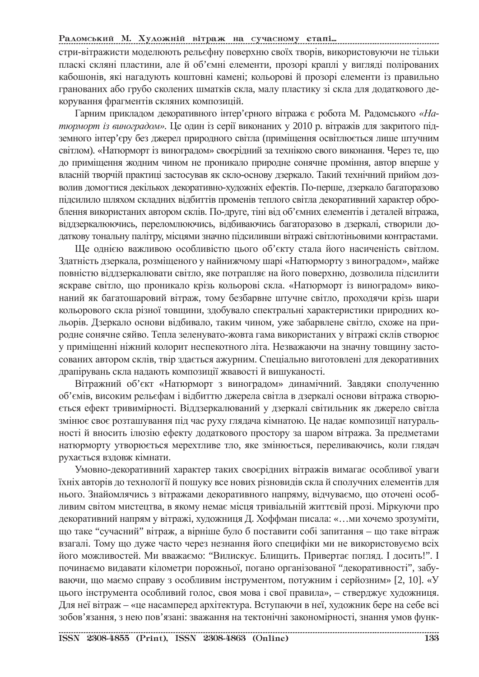#### Радомський М. Художній вітраж на сучасному етапі...

стри-вітражисти моделюють рельєфну поверхню своїх творів, використовуючи не тільки пласкі скляні пластини, але й об'ємні елементи, прозорі краплі у вигляді полірованих кабошонів, які нагадують коштовні камені; кольорові й прозорі елементи із правильно гранованих або грубо сколених шматків скла, малу пластику зі скла для додаткового декорування фрагментів скляних композицій.

Гарним прикладом декоративного інтер'єрного вітража є робота М. Радомського «На*тюрморт із виноградом»*. Це один із серії виконаних у 2010 р. вітражів для закритого підземного інтер'єру без джерел природного світла (приміщення освітлюється лише штучним світлом). «Натюрморт із виноградом» своєрідний за технікою свого виконання. Через те, що до приміщення жодним чином не проникало природне сонячне проміння, автор вперше у власній творчій практиці застосував як скло-основу дзеркало. Такий технічний прийом дозволив домогтися декількох декоративно-художніх ефектів. По-перше, дзеркало багаторазово підсилило шляхом складних відбиттів променів теплого світла декоративний характер оброблення використаних автором склів. По-друге, тіні від об'ємних елементів і деталей вітража, віддзеркалюючись, переломлюючись, відбиваючись багаторазово в дзеркалі, створили додаткову тональну палітру, місцями значно підсиливши вітражі світлотіньовими контрастами.

Ще однією важливою особливістю цього об'єкту стала його насиченість світлом. Здатність дзеркала, розміщеного у найнижчому шарі «Натюрморту з виноградом», майже повністю віддзеркалювати світло, яке потрапляє на його поверхню, дозволила підсилити яскраве світло, що проникало крізь кольорові скла. «Натюрморт із виноградом» виконаний як багатошаровий вітраж, тому безбарвне штучне світло, проходячи крізь шари кольорового скла різної товщини, здобувало спектральні характеристики природних кольорів. Дзеркало основи відбивало, таким чином, уже забарвлене світло, схоже на природне сонячне сяйво. Тепла зеленувато-жовта гама використаних у вітражі склів створює у приміщенні ніжний колорит неспекотного літа. Незважаючи на значну товщину застосованих автором склів, твір здається ажурним. Спеціально виготовлені для декоративних драпірувань скла надають композиції жвавості й вишуканості.

Вітражний об'єкт «Натюрморт з виноградом» динамічний. Завдяки сполученню об'ємів, високим рельєфам і відбиттю джерела світла в дзеркалі основи вітража створюється ефект тривимірності. Віддзеркалюваний у дзеркалі світильник як джерело світла змінює своє розташування під час руху глядача кімнатою. Це надає композиції натуральності й вносить ілюзію ефекту додаткового простору за шаром вітража. За предметами натюрморту утворюється мерехтливе тло, яке змінюється, переливаючись, коли глядач рухається вздовж кімнати.

Умовно-декоративний характер таких своєрідних вітражів вимагає особливої уваги їхніх авторів до технології й пошуку все нових різновидів скла й сполучних елементів для нього. Знайомлячись з вітражами декоративного напряму, відчуваємо, що оточені особливим світом мистецтва, в якому немає місця тривіальній життєвій прозі. Міркуючи про декоративний напрям у вітражі, художниця Д. Хоффман писала: «…ми хочемо зрозуміти, що таке "сучасний" вітраж, а вірніше було б поставити собі запитання – що таке вітраж взагалі. Тому що дуже часто через незнання його специфіки ми не використовуємо всіх його можливостей. Ми вважаємо: "Вилискує. Блищить. Привертає погляд. І досить!". І починаємо видавати кілометри порожньої, погано організованої "декоративності", забуваючи, що маємо справу з особливим інструментом, потужним і серйозним» [2, 10]. «У цього інструмента особливий голос, своя мова і свої правила», – стверджує художниця. Для неї вітраж – «це насамперед архітектура. Вступаючи в неї, художник бере на себе всі зобов'язання, з нею пов'язані: зважання на тектонічні закономірності, знання умов функ-